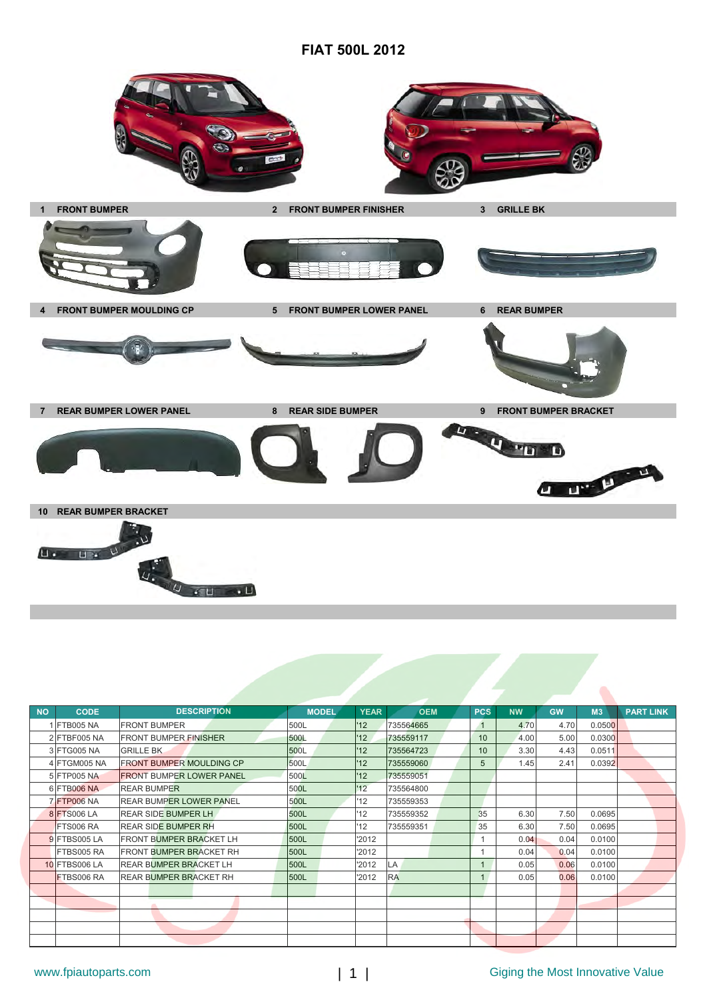## **FIAT 500L 2012**



| <b>NO</b> | <b>CODE</b>        | <b>DESCRIPTION</b>              | <b>MODEL</b> | <b>YEAR</b>      | <b>OEM</b> | <b>PCS</b> | <b>NW</b> | <b>GW</b> | M3     | <b>PART LINK</b> |
|-----------|--------------------|---------------------------------|--------------|------------------|------------|------------|-----------|-----------|--------|------------------|
|           | 1 FTB005 NA        | <b>FRONT BUMPER</b>             | 500L         | '12              | 735564665  |            | 4.70      | 4.70      | 0.0500 |                  |
|           | 2 FTBF005 NA       | <b>FRONT BUMPER FINISHER</b>    | 500L         | 12 <sup>12</sup> | 735559117  | 10         | 4.00      | 5.00      | 0.0300 |                  |
|           | 3 FTG005 NA        | <b>GRILLE BK</b>                | 500L         | '12              | 735564723  | 10         | 3.30      | 4.43      | 0.0511 |                  |
|           | 4 FTGM005 NA       | <b>FRONT BUMPER MOULDING CP</b> | 500L         | '12              | 735559060  | 5          | 1.45      | 2.41      | 0.0392 |                  |
|           | 5 FTP005 NA        | <b>FRONT BUMPER LOWER PANEL</b> | 500L         | '12              | 735559051  |            |           |           |        |                  |
|           | 6 FTB006 NA        | <b>REAR BUMPER</b>              | 500L         | '12              | 735564800  |            |           |           |        |                  |
|           | <b>7 FTP006 NA</b> | <b>REAR BUMPER LOWER PANEL</b>  | 500L         | '12              | 735559353  |            |           |           |        |                  |
|           | 8 FTS006 LA        | <b>REAR SIDE BUMPER LH</b>      | 500L         | 12               | 735559352  | 35         | 6.30      | 7.50      | 0.0695 |                  |
|           | <b>FTS006 RA</b>   | <b>REAR SIDE BUMPER RH</b>      | 500L         | 12               | 735559351  | 35         | 6.30      | 7.50      | 0.0695 |                  |
|           | 9 FTBS005 LA       | <b>FRONT BUMPER BRACKET LH</b>  | 500L         | '2012            |            |            | 0.04      | 0.04      | 0.0100 |                  |
|           | FTBS005 RA         | <b>FRONT BUMPER BRACKET RH</b>  | 500L         | '2012            |            |            | 0.04      | 0.04      | 0.0100 |                  |
|           | 10 FTBS006 LA      | <b>REAR BUMPER BRACKET LH</b>   | 500L         | '2012            | LA         |            | 0.05      | 0.06      | 0.0100 |                  |
|           | <b>FTBS006 RA</b>  | <b>REAR BUMPER BRACKET RH</b>   | 500L         | '2012            | <b>RA</b>  |            | 0.05      | 0.06      | 0.0100 |                  |
|           |                    |                                 |              |                  |            |            |           |           |        |                  |
|           |                    |                                 |              |                  |            |            |           |           |        |                  |
|           |                    |                                 |              |                  |            |            |           |           |        |                  |
|           |                    |                                 |              |                  |            |            |           |           |        |                  |
|           |                    |                                 |              |                  |            |            |           |           |        |                  |